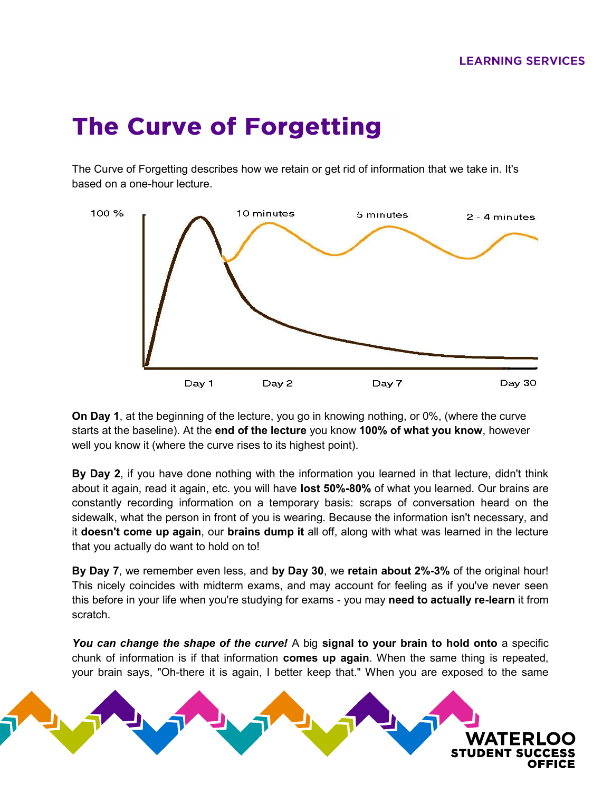## **The Curve of Forgetting**

The Curve of Forgetting describes how we retain or get rid of information that we take in. It's based on a one-hour lecture.



**On Day 1**, at the beginning of the lecture, you go in knowing nothing, or 0%, (where the curve starts at the baseline). At the **end of the lecture** you know **100% of what you know**, however well you know it (where the curve rises to its highest point).

**By Day 2**, if you have done nothing with the information you learned in that lecture, didn't think about it again, read it again, etc. you will have **lost 50%-80%** of what you learned. Our brains are constantly recording information on a temporary basis: scraps of conversation heard on the sidewalk, what the person in front of you is wearing. Because the information isn't necessary, and it **doesn't come up again**, our **brains dump it** all off, along with what was learned in the lecture that you actually do want to hold on to!

**By Day 7**, we remember even less, and **by Day 30**, we **retain about 2%-3%** of the original hour! This nicely coincides with midterm exams, and may account for feeling as if you've never seen this before in your life when you're studying for exams - you may **need to actually re-learn** it from scratch.

*You can change the shape of the curve!* A big **signal to your brain to hold onto** a specific chunk of information is if that information **comes up again**. When the same thing is repeated, your brain says, "Oh-there it is again, I better keep that." When you are exposed to the same